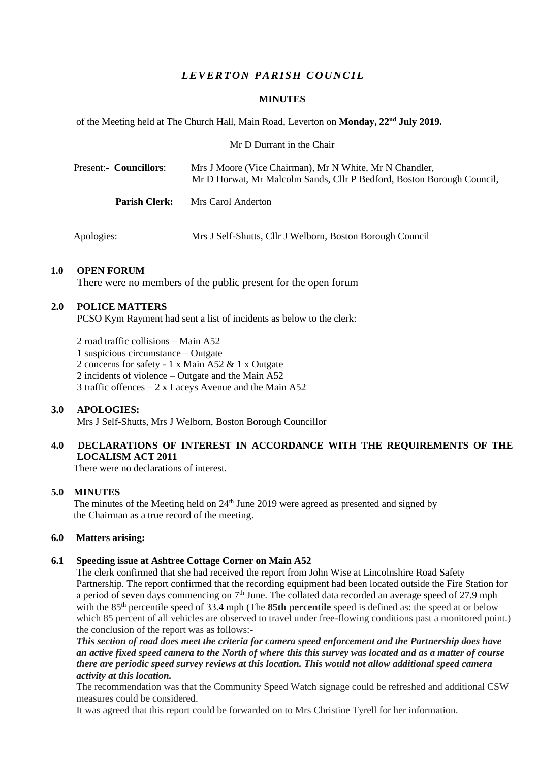## *L EVER T ON PARISH C OU NC IL*

### **MINUTES**

of the Meeting held at The Church Hall, Main Road, Leverton on **Monday, 22nd July 2019.**

Mr D Durrant in the Chair

| Present:- Councillors: | Mrs J Moore (Vice Chairman), Mr N White, Mr N Chandler,<br>Mr D Horwat, Mr Malcolm Sands, Cllr P Bedford, Boston Borough Council, |
|------------------------|-----------------------------------------------------------------------------------------------------------------------------------|
| <b>Parish Clerk:</b>   | Mrs Carol Anderton                                                                                                                |

Apologies: Mrs J Self-Shutts, Cllr J Welborn, Boston Borough Council

## **1.0 OPEN FORUM**

There were no members of the public present for the open forum

## **2.0 POLICE MATTERS**

PCSO Kym Rayment had sent a list of incidents as below to the clerk:

2 road traffic collisions – Main A52

1 suspicious circumstance – Outgate

2 concerns for safety - 1 x Main A52 & 1 x Outgate

2 incidents of violence – Outgate and the Main A52

3 traffic offences – 2 x Laceys Avenue and the Main A52

## **3.0 APOLOGIES:**

Mrs J Self-Shutts, Mrs J Welborn, Boston Borough Councillor

## **4.0 DECLARATIONS OF INTEREST IN ACCORDANCE WITH THE REQUIREMENTS OF THE LOCALISM ACT 2011**

There were no declarations of interest.

## **5.0 MINUTES**

The minutes of the Meeting held on  $24<sup>th</sup>$  June 2019 were agreed as presented and signed by the Chairman as a true record of the meeting.

### **6.0 Matters arising:**

### **6.1 Speeding issue at Ashtree Cottage Corner on Main A52**

The clerk confirmed that she had received the report from John Wise at Lincolnshire Road Safety Partnership. The report confirmed that the recording equipment had been located outside the Fire Station for a period of seven days commencing on  $7<sup>th</sup>$  June. The collated data recorded an average speed of 27.9 mph with the 85<sup>th</sup> percentile speed of 33.4 mph (The **85th percentile** speed is defined as: the speed at or below which 85 percent of all vehicles are observed to travel under free-flowing conditions past a monitored point.) the conclusion of the report was as follows:-

*This section of road does meet the criteria for camera speed enforcement and the Partnership does have an active fixed speed camera to the North of where this this survey was located and as a matter of course there are periodic speed survey reviews at this location. This would not allow additional speed camera activity at this location.*

The recommendation was that the Community Speed Watch signage could be refreshed and additional CSW measures could be considered.

It was agreed that this report could be forwarded on to Mrs Christine Tyrell for her information.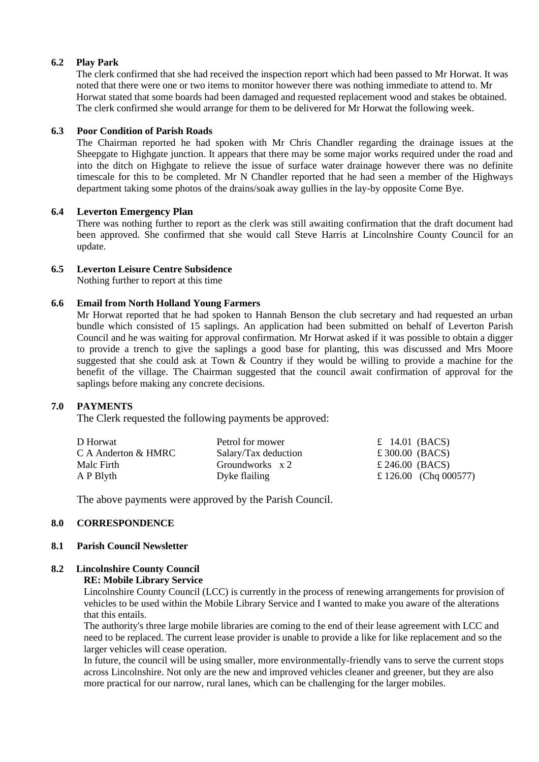## **6.2 Play Park**

The clerk confirmed that she had received the inspection report which had been passed to Mr Horwat. It was noted that there were one or two items to monitor however there was nothing immediate to attend to. Mr Horwat stated that some boards had been damaged and requested replacement wood and stakes be obtained. The clerk confirmed she would arrange for them to be delivered for Mr Horwat the following week.

### **6.3 Poor Condition of Parish Roads**

The Chairman reported he had spoken with Mr Chris Chandler regarding the drainage issues at the Sheepgate to Highgate junction. It appears that there may be some major works required under the road and into the ditch on Highgate to relieve the issue of surface water drainage however there was no definite timescale for this to be completed. Mr N Chandler reported that he had seen a member of the Highways department taking some photos of the drains/soak away gullies in the lay-by opposite Come Bye.

## **6.4 Leverton Emergency Plan**

There was nothing further to report as the clerk was still awaiting confirmation that the draft document had been approved. She confirmed that she would call Steve Harris at Lincolnshire County Council for an update.

## **6.5 Leverton Leisure Centre Subsidence**

Nothing further to report at this time

## **6.6 Email from North Holland Young Farmers**

Mr Horwat reported that he had spoken to Hannah Benson the club secretary and had requested an urban bundle which consisted of 15 saplings. An application had been submitted on behalf of Leverton Parish Council and he was waiting for approval confirmation. Mr Horwat asked if it was possible to obtain a digger to provide a trench to give the saplings a good base for planting, this was discussed and Mrs Moore suggested that she could ask at Town & Country if they would be willing to provide a machine for the benefit of the village. The Chairman suggested that the council await confirmation of approval for the saplings before making any concrete decisions.

## **7.0 PAYMENTS**

The Clerk requested the following payments be approved:

| D Horwat            | Petrol for mower     | $\pounds$ 14.01 (BACS) |
|---------------------|----------------------|------------------------|
| C A Anderton & HMRC | Salary/Tax deduction | £ 300.00 (BACS)        |
| Malc Firth          | Groundworks x 2      | £ 246.00 (BACS)        |
| A P Blyth           | Dyke flailing        | £ 126.00 (Chq 000577)  |

The above payments were approved by the Parish Council.

### **8.0 CORRESPONDENCE**

### **8.1 Parish Council Newsletter**

# **8.2 Lincolnshire County Council**

## **RE: Mobile Library Service**

Lincolnshire County Council (LCC) is currently in the process of renewing arrangements for provision of vehicles to be used within the Mobile Library Service and I wanted to make you aware of the alterations that this entails.

The authority's three large mobile libraries are coming to the end of their lease agreement with LCC and need to be replaced. The current lease provider is unable to provide a like for like replacement and so the larger vehicles will cease operation.

In future, the council will be using smaller, more environmentally-friendly vans to serve the current stops across Lincolnshire. Not only are the new and improved vehicles cleaner and greener, but they are also more practical for our narrow, rural lanes, which can be challenging for the larger mobiles.